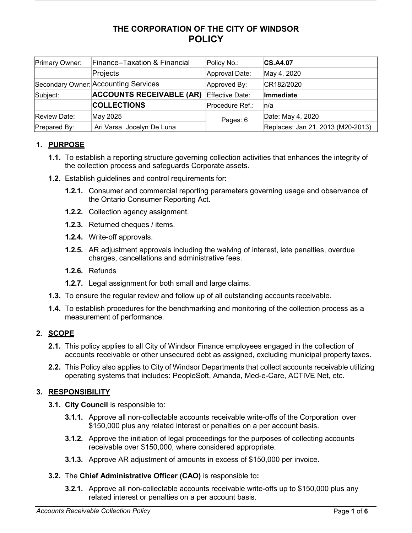# **THE CORPORATION OF THE CITY OF WINDSOR POLICY**

| Primary Owner:      | Finance-Taxation & Financial         | Policy No.:     | CS.A4.07                          |
|---------------------|--------------------------------------|-----------------|-----------------------------------|
|                     | Projects                             | Approval Date:  | May 4, 2020                       |
|                     | Secondary Owner: Accounting Services | Approved By:    | CR182/2020                        |
| Subject:            | <b>ACCOUNTS RECEIVABLE (AR)</b>      | Effective Date: | Immediate                         |
|                     | <b>COLLECTIONS</b>                   | Procedure Ref.: | ∣n/a                              |
| <b>Review Date:</b> | May 2025                             | Pages: 6        | Date: May 4, 2020                 |
| Prepared By:        | Ari Varsa, Jocelyn De Luna           |                 | Replaces: Jan 21, 2013 (M20-2013) |

# **1. PURPOSE**

- **1.1.** To establish a reporting structure governing collection activities that enhances the integrity of the collection process and safeguards Corporate assets.
- **1.2.** Establish guidelines and control requirements for:
	- **1.2.1.** Consumer and commercial reporting parameters governing usage and observance of the Ontario Consumer Reporting Act.
	- **1.2.2.** Collection agency assignment.
	- **1.2.3.** Returned cheques / items.
	- **1.2.4.** Write-off approvals.
	- **1.2.5.** AR adjustment approvals including the waiving of interest, late penalties, overdue charges, cancellations and administrative fees.
	- **1.2.6.** Refunds
	- **1.2.7.** Legal assignment for both small and large claims.
- **1.3.** To ensure the regular review and follow up of all outstanding accounts receivable.
- **1.4.** To establish procedures for the benchmarking and monitoring of the collection process as a measurement of performance.

# **2. SCOPE**

- **2.1.** This policy applies to all City of Windsor Finance employees engaged in the collection of accounts receivable or other unsecured debt as assigned, excluding municipal property taxes.
- **2.2.** This Policy also applies to City of Windsor Departments that collect accounts receivable utilizing operating systems that includes: PeopleSoft, Amanda, Med-e-Care, ACTIVE Net, etc.

# **3. RESPONSIBILITY**

- **3.1. City Council** is responsible to:
	- **3.1.1.** Approve all non-collectable accounts receivable write-offs of the Corporation over \$150,000 plus any related interest or penalties on a per account basis.
	- **3.1.2.** Approve the initiation of legal proceedings for the purposes of collecting accounts receivable over \$150,000, where considered appropriate.
	- **3.1.3.** Approve AR adjustment of amounts in excess of \$150,000 per invoice.
- **3.2.** The **Chief Administrative Officer (CAO)** is responsible to**:**
	- **3.2.1.** Approve all non-collectable accounts receivable write-offs up to \$150,000 plus any related interest or penalties on a per account basis.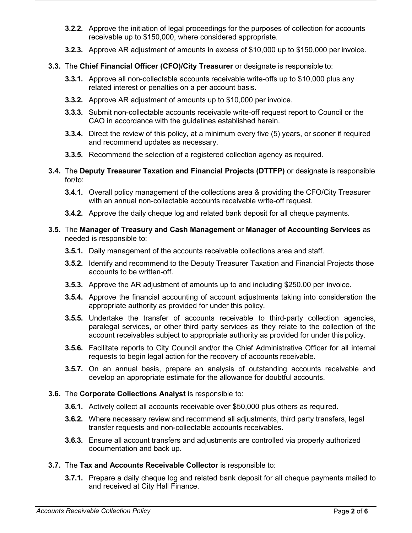- **3.2.2.** Approve the initiation of legal proceedings for the purposes of collection for accounts receivable up to \$150,000, where considered appropriate.
- **3.2.3.** Approve AR adjustment of amounts in excess of \$10,000 up to \$150,000 per invoice.
- **3.3.** The **Chief Financial Officer (CFO)/City Treasurer** or designate is responsible to:
	- **3.3.1.** Approve all non-collectable accounts receivable write-offs up to \$10,000 plus any related interest or penalties on a per account basis.
	- **3.3.2.** Approve AR adjustment of amounts up to \$10,000 per invoice.
	- **3.3.3.** Submit non-collectable accounts receivable write-off request report to Council or the CAO in accordance with the guidelines established herein.
	- **3.3.4.** Direct the review of this policy, at a minimum every five (5) years, or sooner if required and recommend updates as necessary.
	- **3.3.5.** Recommend the selection of a registered collection agency as required.
- **3.4.** The **Deputy Treasurer Taxation and Financial Projects (DTTFP)** or designate is responsible for/to:
	- **3.4.1.** Overall policy management of the collections area & providing the CFO/City Treasurer with an annual non-collectable accounts receivable write-off request.
	- **3.4.2.** Approve the daily cheque log and related bank deposit for all cheque payments.
- **3.5.** The **Manager of Treasury and Cash Management** or **Manager of Accounting Services** as needed is responsible to:
	- **3.5.1.** Daily management of the accounts receivable collections area and staff.
	- **3.5.2.** Identify and recommend to the Deputy Treasurer Taxation and Financial Projects those accounts to be written-off.
	- **3.5.3.** Approve the AR adjustment of amounts up to and including \$250.00 per invoice.
	- **3.5.4.** Approve the financial accounting of account adjustments taking into consideration the appropriate authority as provided for under this policy.
	- **3.5.5.** Undertake the transfer of accounts receivable to third-party collection agencies, paralegal services, or other third party services as they relate to the collection of the account receivables subject to appropriate authority as provided for under this policy.
	- **3.5.6.** Facilitate reports to City Council and/or the Chief Administrative Officer for all internal requests to begin legal action for the recovery of accounts receivable.
	- **3.5.7.** On an annual basis, prepare an analysis of outstanding accounts receivable and develop an appropriate estimate for the allowance for doubtful accounts.

# **3.6.** The **Corporate Collections Analyst** is responsible to:

- **3.6.1.** Actively collect all accounts receivable over \$50,000 plus others as required.
- **3.6.2.** Where necessary review and recommend all adjustments, third party transfers, legal transfer requests and non-collectable accounts receivables.
- **3.6.3.** Ensure all account transfers and adjustments are controlled via properly authorized documentation and back up.

# **3.7.** The **Tax and Accounts Receivable Collector** is responsible to:

**3.7.1.** Prepare a daily cheque log and related bank deposit for all cheque payments mailed to and received at City Hall Finance.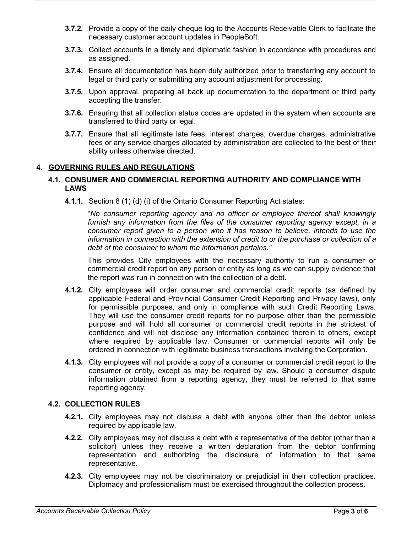- **3.7.2.** Provide a copy of the daily cheque log to the Accounts Receivable Clerk to facilitate the necessary customer account updates in PeopleSoft.
- **3.7.3.** Collect accounts in a timely and diplomatic fashion in accordance with procedures and as assigned.
- **3.7.4.** Ensure all documentation has been duly authorized prior to transferring any account to legal or third party or submitting any account adjustment for processing.
- **3.7.5.** Upon approval, preparing all back up documentation to the department or third party accepting the transfer.
- **3.7.6.** Ensuring that all collection status codes are updated in the system when accounts are transferred to third party or legal.
- **3.7.7.** Ensure that all legitimate late fees, interest charges, overdue charges, administrative fees or any service charges allocated by administration are collected to the best of their ability unless otherwise directed.

### **4. GOVERNING RULES AND REGULATIONS**

#### **4.1. CONSUMER AND COMMERCIAL REPORTING AUTHORITY AND COMPLIANCE WITH LAWS**

**4.1.1.** Section 8 (1) (d) (i) of the Ontario Consumer Reporting Act states:

"*No consumer reporting agency and no officer or employee thereof shall knowingly*  furnish any information from the files of the consumer reporting agency except, in a *consumer report given to a person who it has reason to believe, intends to use the information in connection with the extension of credit to or the purchase or collection of a debt of the consumer to whom the information pertains."*

This provides City employees with the necessary authority to run a consumer or commercial credit report on any person or entity as long as we can supply evidence that the report was run in connection with the collection of a debt.

- **4.1.2.** City employees will order consumer and commercial credit reports (as defined by applicable Federal and Provincial Consumer Credit Reporting and Privacy laws), only for permissible purposes, and only in compliance with such Credit Reporting Laws. They will use the consumer credit reports for no purpose other than the permissible purpose and will hold all consumer or commercial credit reports in the strictest of confidence and will not disclose any information contained therein to others, except where required by applicable law. Consumer or commercial reports will only be ordered in connection with legitimate business transactions involving the Corporation.
- **4.1.3.** City employees will not provide a copy of a consumer or commercial credit report to the consumer or entity, except as may be required by law. Should a consumer dispute information obtained from a reporting agency, they must be referred to that same reporting agency.

#### **4.2. COLLECTION RULES**

- **4.2.1.** City employees may not discuss a debt with anyone other than the debtor unless required by applicable law.
- **4.2.2.** City employees may not discuss a debt with a representative of the debtor (other than a solicitor) unless they receive a written declaration from the debtor confirming representation and authorizing the disclosure of information to that same representative.
- **4.2.3.** City employees may not be discriminatory or prejudicial in their collection practices. Diplomacy and professionalism must be exercised throughout the collection process.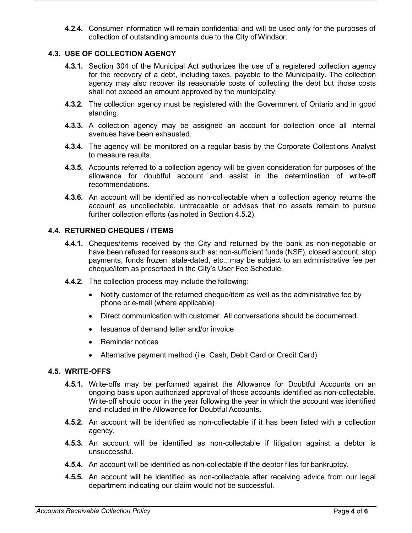**4.2.4.** Consumer information will remain confidential and will be used only for the purposes of collection of outstanding amounts due to the City of Windsor.

### **4.3. USE OF COLLECTION AGENCY**

- **4.3.1.** Section 304 of the Municipal Act authorizes the use of a registered collection agency for the recovery of a debt, including taxes, payable to the Municipality. The collection agency may also recover its reasonable costs of collecting the debt but those costs shall not exceed an amount approved by the municipality.
- **4.3.2.** The collection agency must be registered with the Government of Ontario and in good standing.
- **4.3.3.** A collection agency may be assigned an account for collection once all internal avenues have been exhausted.
- **4.3.4.** The agency will be monitored on a regular basis by the Corporate Collections Analyst to measure results.
- **4.3.5.** Accounts referred to a collection agency will be given consideration for purposes of the allowance for doubtful account and assist in the determination of write-off recommendations.
- **4.3.6.** An account will be identified as non-collectable when a collection agency returns the account as uncollectable, untraceable or advises that no assets remain to pursue further collection efforts (as noted in Section 4.5.2).

#### **4.4. RETURNED CHEQUES / ITEMS**

- **4.4.1.** Cheques/items received by the City and returned by the bank as non-negotiable or have been refused for reasons such as: non-sufficient funds (NSF), closed account, stop payments, funds frozen, stale-dated, etc., may be subject to an administrative fee per cheque/item as prescribed in the City's User Fee Schedule.
- **4.4.2.** The collection process may include the following:
	- Notify customer of the returned cheque/item as well as the administrative fee by phone or e-mail (where applicable)
	- Direct communication with customer. All conversations should be documented.
	- Issuance of demand letter and/or invoice
	- Reminder notices
	- Alternative payment method (i.e. Cash, Debit Card or Credit Card)

#### **4.5. WRITE-OFFS**

- **4.5.1.** Write-offs may be performed against the Allowance for Doubtful Accounts on an ongoing basis upon authorized approval of those accounts identified as non-collectable. Write-off should occur in the year following the year in which the account was identified and included in the Allowance for Doubtful Accounts.
- **4.5.2.** An account will be identified as non-collectable if it has been listed with a collection agency.
- **4.5.3.** An account will be identified as non-collectable if litigation against a debtor is unsuccessful.
- **4.5.4.** An account will be identified as non-collectable if the debtor files for bankruptcy.
- **4.5.5.** An account will be identified as non-collectable after receiving advice from our legal department indicating our claim would not be successful.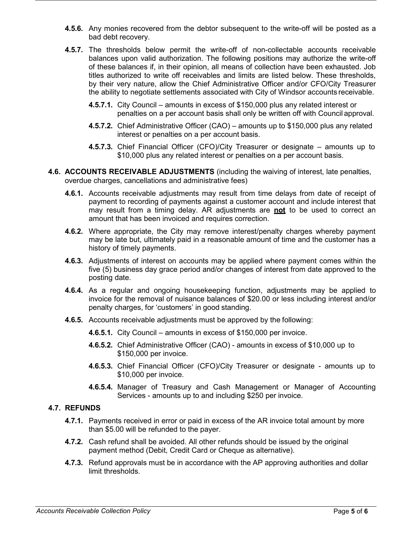- **4.5.6.** Any monies recovered from the debtor subsequent to the write-off will be posted as a bad debt recovery.
- **4.5.7.** The thresholds below permit the write-off of non-collectable accounts receivable balances upon valid authorization. The following positions may authorize the write-off of these balances if, in their opinion, all means of collection have been exhausted. Job titles authorized to write off receivables and limits are listed below. These thresholds, by their very nature, allow the Chief Administrative Officer and/or CFO/City Treasurer the ability to negotiate settlements associated with City of Windsor accounts receivable.
	- **4.5.7.1.** City Council amounts in excess of \$150,000 plus any related interest or penalties on a per account basis shall only be written off with Council approval.
	- **4.5.7.2.** Chief Administrative Officer (CAO) amounts up to \$150,000 plus any related interest or penalties on a per account basis.
	- **4.5.7.3.** Chief Financial Officer (CFO)/City Treasurer or designate amounts up to \$10,000 plus any related interest or penalties on a per account basis.
- **4.6. ACCOUNTS RECEIVABLE ADJUSTMENTS** (including the waiving of interest, late penalties, overdue charges, cancellations and administrative fees)
	- **4.6.1.** Accounts receivable adjustments may result from time delays from date of receipt of payment to recording of payments against a customer account and include interest that may result from a timing delay. AR adjustments are **not** to be used to correct an amount that has been invoiced and requires correction.
	- **4.6.2.** Where appropriate, the City may remove interest/penalty charges whereby payment may be late but, ultimately paid in a reasonable amount of time and the customer has a history of timely payments.
	- **4.6.3.** Adjustments of interest on accounts may be applied where payment comes within the five (5) business day grace period and/or changes of interest from date approved to the posting date.
	- **4.6.4.** As a regular and ongoing housekeeping function, adjustments may be applied to invoice for the removal of nuisance balances of \$20.00 or less including interest and/or penalty charges, for 'customers' in good standing.
	- **4.6.5.** Accounts receivable adjustments must be approved by the following:
		- **4.6.5.1.** City Council amounts in excess of \$150,000 per invoice.
		- **4.6.5.2.** Chief Administrative Officer (CAO) amounts in excess of \$10,000 up to \$150,000 per invoice.
		- **4.6.5.3.** Chief Financial Officer (CFO)/City Treasurer or designate amounts up to \$10,000 per invoice.
		- **4.6.5.4.** Manager of Treasury and Cash Management or Manager of Accounting Services - amounts up to and including \$250 per invoice.

#### **4.7. REFUNDS**

- **4.7.1.** Payments received in error or paid in excess of the AR invoice total amount by more than \$5.00 will be refunded to the payer.
- **4.7.2.** Cash refund shall be avoided. All other refunds should be issued by the original payment method (Debit, Credit Card or Cheque as alternative).
- **4.7.3.** Refund approvals must be in accordance with the AP approving authorities and dollar limit thresholds.